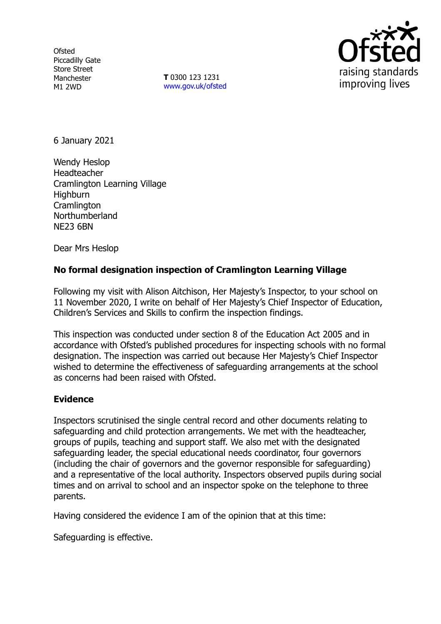**Ofsted** Piccadilly Gate Store Street Manchester M1 2WD

**T** 0300 123 1231 [www.gov.uk/ofsted](http://www.gov.uk/ofsted)



6 January 2021

Wendy Heslop Headteacher Cramlington Learning Village **Highburn Cramlington** Northumberland NE23 6BN

Dear Mrs Heslop

# **No formal designation inspection of Cramlington Learning Village**

Following my visit with Alison Aitchison, Her Majesty's Inspector, to your school on 11 November 2020, I write on behalf of Her Majesty's Chief Inspector of Education, Children's Services and Skills to confirm the inspection findings.

This inspection was conducted under section 8 of the Education Act 2005 and in accordance with Ofsted's published procedures for inspecting schools with no formal designation. The inspection was carried out because Her Majesty's Chief Inspector wished to determine the effectiveness of safeguarding arrangements at the school as concerns had been raised with Ofsted.

#### **Evidence**

Inspectors scrutinised the single central record and other documents relating to safeguarding and child protection arrangements. We met with the headteacher, groups of pupils, teaching and support staff. We also met with the designated safeguarding leader, the special educational needs coordinator, four governors (including the chair of governors and the governor responsible for safeguarding) and a representative of the local authority. Inspectors observed pupils during social times and on arrival to school and an inspector spoke on the telephone to three parents.

Having considered the evidence I am of the opinion that at this time:

Safeguarding is effective.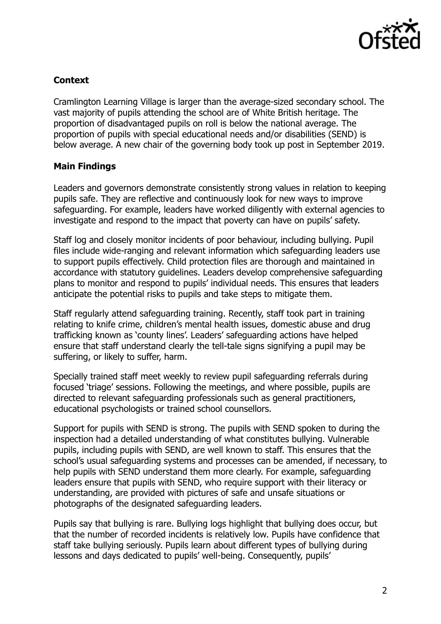

## **Context**

Cramlington Learning Village is larger than the average-sized secondary school. The vast majority of pupils attending the school are of White British heritage. The proportion of disadvantaged pupils on roll is below the national average. The proportion of pupils with special educational needs and/or disabilities (SEND) is below average. A new chair of the governing body took up post in September 2019.

### **Main Findings**

Leaders and governors demonstrate consistently strong values in relation to keeping pupils safe. They are reflective and continuously look for new ways to improve safeguarding. For example, leaders have worked diligently with external agencies to investigate and respond to the impact that poverty can have on pupils' safety.

Staff log and closely monitor incidents of poor behaviour, including bullying. Pupil files include wide-ranging and relevant information which safeguarding leaders use to support pupils effectively. Child protection files are thorough and maintained in accordance with statutory guidelines. Leaders develop comprehensive safeguarding plans to monitor and respond to pupils' individual needs. This ensures that leaders anticipate the potential risks to pupils and take steps to mitigate them.

Staff regularly attend safeguarding training. Recently, staff took part in training relating to knife crime, children's mental health issues, domestic abuse and drug trafficking known as 'county lines'. Leaders' safeguarding actions have helped ensure that staff understand clearly the tell-tale signs signifying a pupil may be suffering, or likely to suffer, harm.

Specially trained staff meet weekly to review pupil safeguarding referrals during focused 'triage' sessions. Following the meetings, and where possible, pupils are directed to relevant safeguarding professionals such as general practitioners, educational psychologists or trained school counsellors.

Support for pupils with SEND is strong. The pupils with SEND spoken to during the inspection had a detailed understanding of what constitutes bullying. Vulnerable pupils, including pupils with SEND, are well known to staff. This ensures that the school's usual safeguarding systems and processes can be amended, if necessary, to help pupils with SEND understand them more clearly. For example, safeguarding leaders ensure that pupils with SEND, who require support with their literacy or understanding, are provided with pictures of safe and unsafe situations or photographs of the designated safeguarding leaders.

Pupils say that bullying is rare. Bullying logs highlight that bullying does occur, but that the number of recorded incidents is relatively low. Pupils have confidence that staff take bullying seriously. Pupils learn about different types of bullying during lessons and days dedicated to pupils' well-being. Consequently, pupils'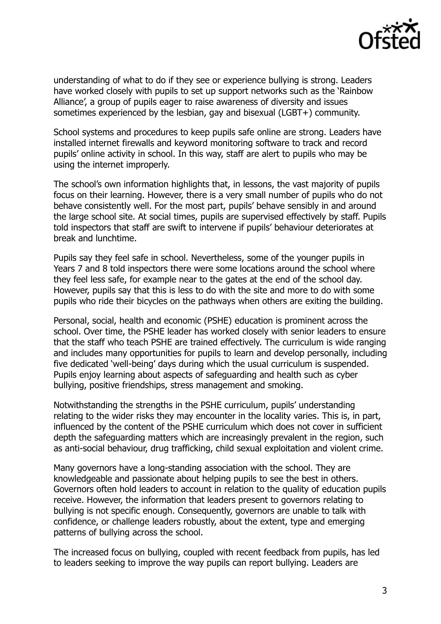

understanding of what to do if they see or experience bullying is strong. Leaders have worked closely with pupils to set up support networks such as the 'Rainbow Alliance', a group of pupils eager to raise awareness of diversity and issues sometimes experienced by the lesbian, gay and bisexual (LGBT+) community.

School systems and procedures to keep pupils safe online are strong. Leaders have installed internet firewalls and keyword monitoring software to track and record pupils' online activity in school. In this way, staff are alert to pupils who may be using the internet improperly.

The school's own information highlights that, in lessons, the vast majority of pupils focus on their learning. However, there is a very small number of pupils who do not behave consistently well. For the most part, pupils' behave sensibly in and around the large school site. At social times, pupils are supervised effectively by staff. Pupils told inspectors that staff are swift to intervene if pupils' behaviour deteriorates at break and lunchtime.

Pupils say they feel safe in school. Nevertheless, some of the younger pupils in Years 7 and 8 told inspectors there were some locations around the school where they feel less safe, for example near to the gates at the end of the school day. However, pupils say that this is less to do with the site and more to do with some pupils who ride their bicycles on the pathways when others are exiting the building.

Personal, social, health and economic (PSHE) education is prominent across the school. Over time, the PSHE leader has worked closely with senior leaders to ensure that the staff who teach PSHE are trained effectively. The curriculum is wide ranging and includes many opportunities for pupils to learn and develop personally, including five dedicated 'well-being' days during which the usual curriculum is suspended. Pupils enjoy learning about aspects of safeguarding and health such as cyber bullying, positive friendships, stress management and smoking.

Notwithstanding the strengths in the PSHE curriculum, pupils' understanding relating to the wider risks they may encounter in the locality varies. This is, in part, influenced by the content of the PSHE curriculum which does not cover in sufficient depth the safeguarding matters which are increasingly prevalent in the region, such as anti-social behaviour, drug trafficking, child sexual exploitation and violent crime.

Many governors have a long-standing association with the school. They are knowledgeable and passionate about helping pupils to see the best in others. Governors often hold leaders to account in relation to the quality of education pupils receive. However, the information that leaders present to governors relating to bullying is not specific enough. Consequently, governors are unable to talk with confidence, or challenge leaders robustly, about the extent, type and emerging patterns of bullying across the school.

The increased focus on bullying, coupled with recent feedback from pupils, has led to leaders seeking to improve the way pupils can report bullying. Leaders are